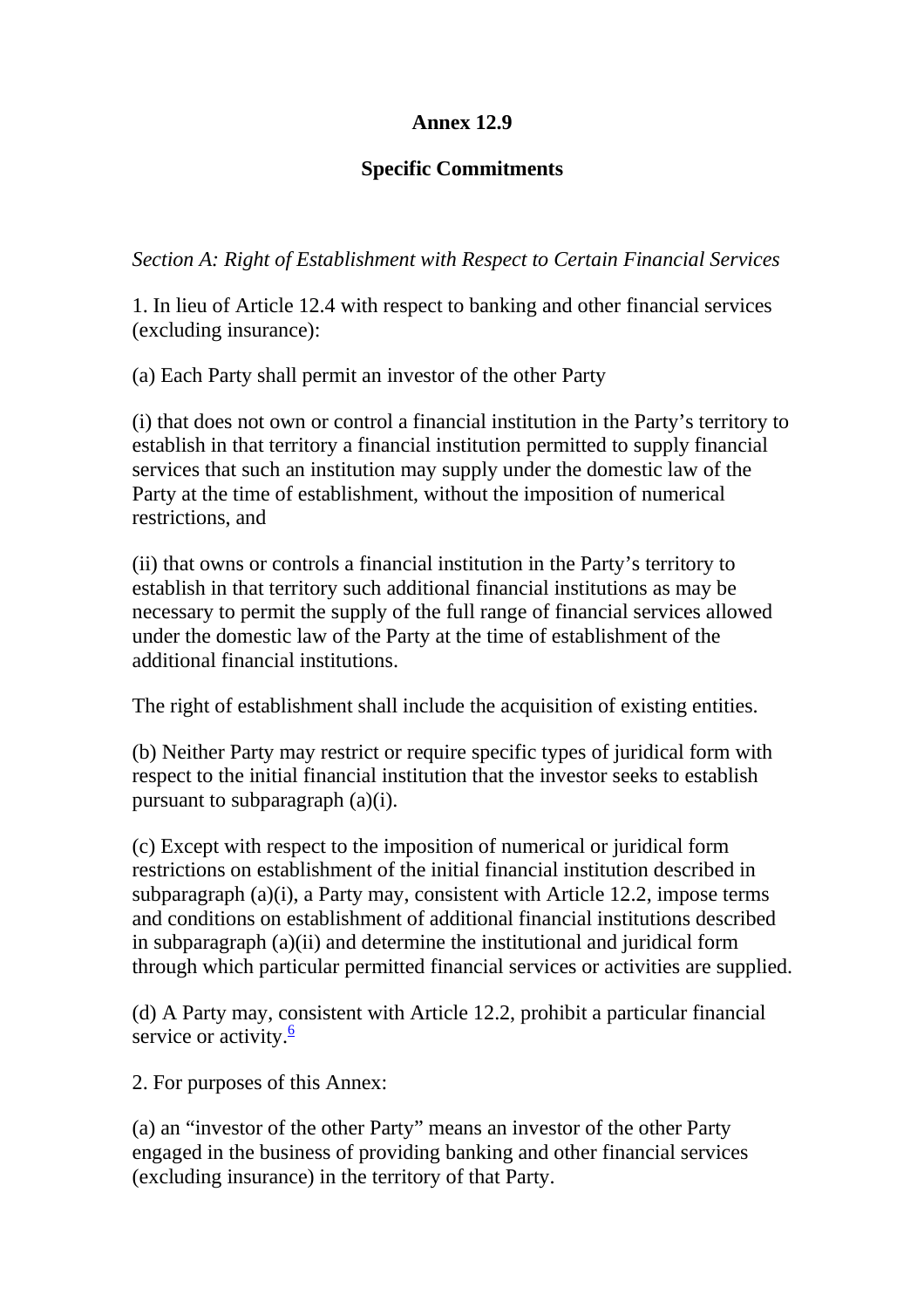## **Annex 12.9**

## **Specific Commitments**

*Section A: Right of Establishment with Respect to Certain Financial Services* 

1. In lieu of Article 12.4 with respect to banking and other financial services (excluding insurance):

(a) Each Party shall permit an investor of the other Party

(i) that does not own or control a financial institution in the Party's territory to establish in that territory a financial institution permitted to supply financial services that such an institution may supply under the domestic law of the Party at the time of establishment, without the imposition of numerical restrictions, and

(ii) that owns or controls a financial institution in the Party's territory to establish in that territory such additional financial institutions as may be necessary to permit the supply of the full range of financial services allowed under the domestic law of the Party at the time of establishment of the additional financial institutions.

The right of establishment shall include the acquisition of existing entities.

(b) Neither Party may restrict or require specific types of juridical form with respect to the initial financial institution that the investor seeks to establish pursuant to subparagraph (a)(i).

(c) Except with respect to the imposition of numerical or juridical form restrictions on establishment of the initial financial institution described in subparagraph (a)(i), a Party may, consistent with Article 12.2, impose terms and conditions on establishment of additional financial institutions described in subparagraph (a)(ii) and determine the institutional and juridical form through which particular permitted financial services or activities are supplied.

(d) A Party may, consistent with Article 12.2, prohibit a particular financial service or activity. $\frac{6}{5}$ 

2. For purposes of this Annex:

(a) an "investor of the other Party" means an investor of the other Party engaged in the business of providing banking and other financial services (excluding insurance) in the territory of that Party.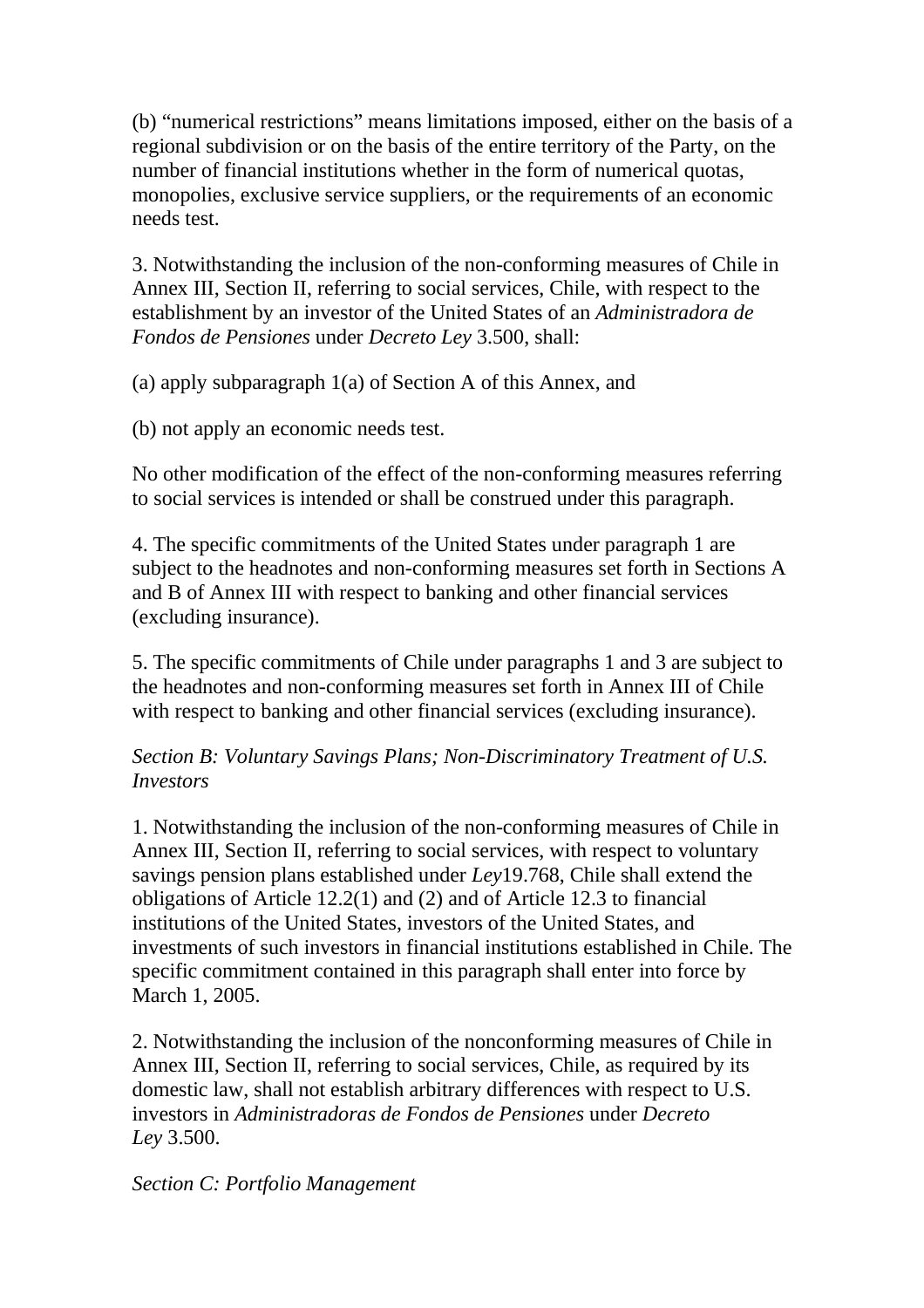(b) "numerical restrictions" means limitations imposed, either on the basis of a regional subdivision or on the basis of the entire territory of the Party, on the number of financial institutions whether in the form of numerical quotas, monopolies, exclusive service suppliers, or the requirements of an economic needs test.

3. Notwithstanding the inclusion of the non-conforming measures of Chile in Annex III, Section II, referring to social services, Chile, with respect to the establishment by an investor of the United States of an *Administradora de Fondos de Pensiones* under *Decreto Ley* 3.500, shall:

(a) apply subparagraph 1(a) of Section A of this Annex, and

(b) not apply an economic needs test.

No other modification of the effect of the non-conforming measures referring to social services is intended or shall be construed under this paragraph.

4. The specific commitments of the United States under paragraph 1 are subject to the headnotes and non-conforming measures set forth in Sections A and B of Annex III with respect to banking and other financial services (excluding insurance).

5. The specific commitments of Chile under paragraphs 1 and 3 are subject to the headnotes and non-conforming measures set forth in Annex III of Chile with respect to banking and other financial services (excluding insurance).

*Section B: Voluntary Savings Plans; Non-Discriminatory Treatment of U.S. Investors*

1. Notwithstanding the inclusion of the non-conforming measures of Chile in Annex III, Section II, referring to social services, with respect to voluntary savings pension plans established under *Ley*19.768, Chile shall extend the obligations of Article 12.2(1) and (2) and of Article 12.3 to financial institutions of the United States, investors of the United States, and investments of such investors in financial institutions established in Chile. The specific commitment contained in this paragraph shall enter into force by March 1, 2005.

2. Notwithstanding the inclusion of the nonconforming measures of Chile in Annex III, Section II, referring to social services, Chile, as required by its domestic law, shall not establish arbitrary differences with respect to U.S. investors in *Administradoras de Fondos de Pensiones* under *Decreto Ley* 3.500.

*Section C: Portfolio Management*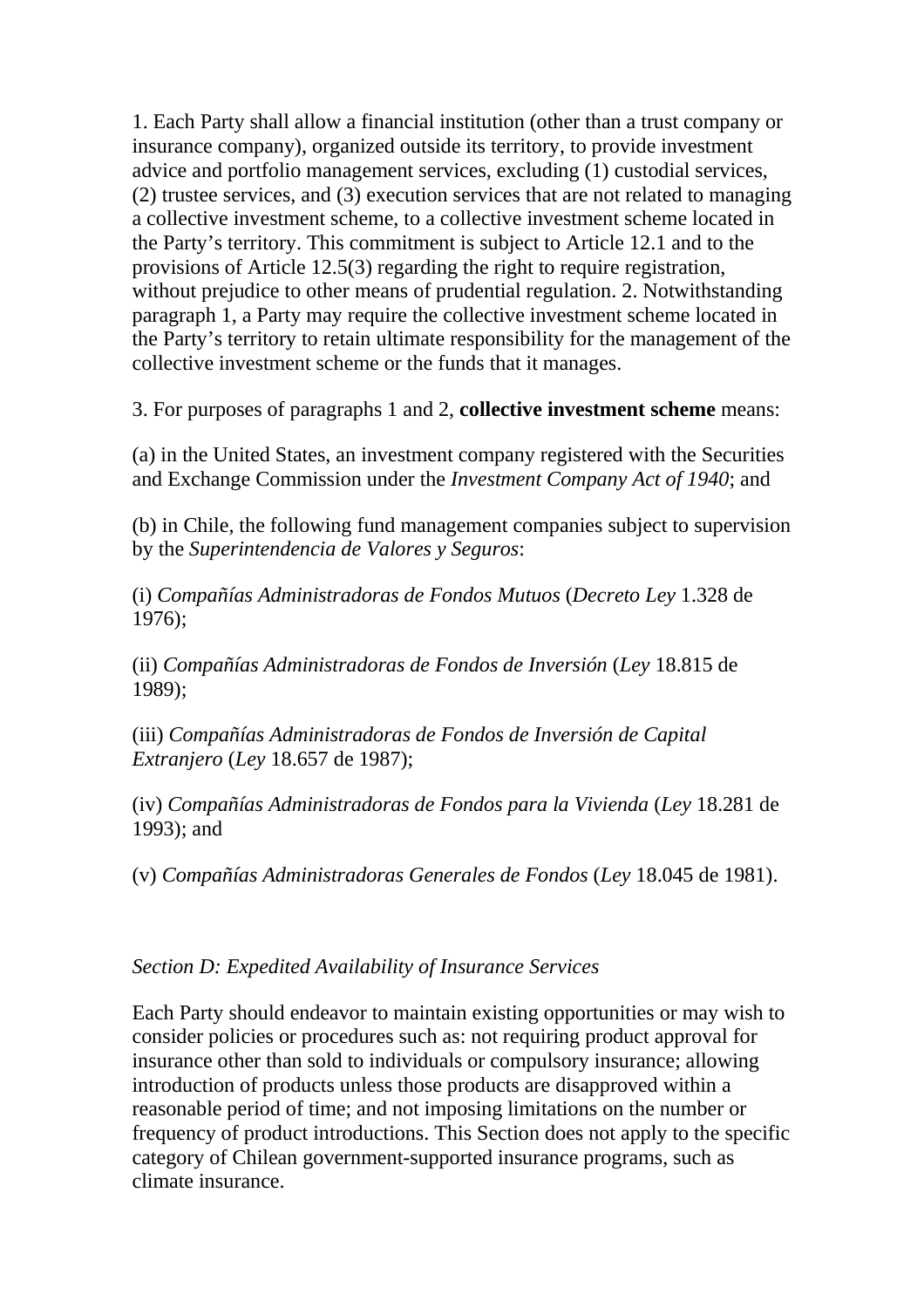1. Each Party shall allow a financial institution (other than a trust company or insurance company), organized outside its territory, to provide investment advice and portfolio management services, excluding (1) custodial services, (2) trustee services, and (3) execution services that are not related to managing a collective investment scheme, to a collective investment scheme located in the Party's territory. This commitment is subject to Article 12.1 and to the provisions of Article 12.5(3) regarding the right to require registration, without prejudice to other means of prudential regulation. 2. Notwithstanding paragraph 1, a Party may require the collective investment scheme located in the Party's territory to retain ultimate responsibility for the management of the collective investment scheme or the funds that it manages.

3. For purposes of paragraphs 1 and 2, **collective investment scheme** means:

(a) in the United States, an investment company registered with the Securities and Exchange Commission under the *Investment Company Act of 1940*; and

(b) in Chile, the following fund management companies subject to supervision by the *Superintendencia de Valores y Seguros*:

(i) *Compañías Administradoras de Fondos Mutuos* (*Decreto Ley* 1.328 de 1976);

(ii) *Compañías Administradoras de Fondos de Inversión* (*Ley* 18.815 de 1989);

(iii) *Compañías Administradoras de Fondos de Inversión de Capital Extranjero* (*Ley* 18.657 de 1987);

(iv) *Compañías Administradoras de Fondos para la Vivienda* (*Ley* 18.281 de 1993); and

(v) *Compañías Administradoras Generales de Fondos* (*Ley* 18.045 de 1981).

## *Section D: Expedited Availability of Insurance Services*

Each Party should endeavor to maintain existing opportunities or may wish to consider policies or procedures such as: not requiring product approval for insurance other than sold to individuals or compulsory insurance; allowing introduction of products unless those products are disapproved within a reasonable period of time; and not imposing limitations on the number or frequency of product introductions. This Section does not apply to the specific category of Chilean government-supported insurance programs, such as climate insurance.